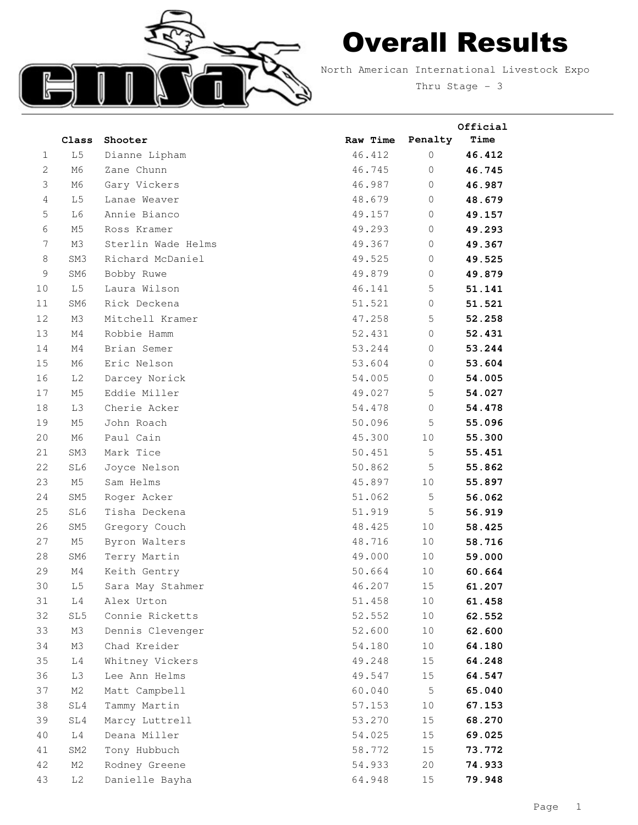

## Overall Results

North American International Livestock Expo

Thru Stage - 3

**Official**

|                | Class           | Shooter            | Raw Time | Penalty     | <b>Time</b> |
|----------------|-----------------|--------------------|----------|-------------|-------------|
| 1              | L <sub>5</sub>  | Dianne Lipham      | 46.412   | $\circ$     | 46.412      |
| $\overline{c}$ | M6              | Zane Chunn         | 46.745   | $\circ$     | 46.745      |
| 3              | M6              | Gary Vickers       | 46.987   | $\circ$     | 46.987      |
| $\overline{4}$ | L <sub>5</sub>  | Lanae Weaver       | 48.679   | $\circ$     | 48.679      |
| 5              | L6              | Annie Bianco       | 49.157   | $\circ$     | 49.157      |
| 6              | M5              | Ross Kramer        | 49.293   | $\circ$     | 49.293      |
| 7              | ΜЗ              | Sterlin Wade Helms | 49.367   | $\circ$     | 49.367      |
| $\,8\,$        | SM3             | Richard McDaniel   | 49.525   | $\circ$     | 49.525      |
| 9              | SM6             | Bobby Ruwe         | 49.879   | 0           | 49.879      |
| 10             | L5              | Laura Wilson       | 46.141   | 5           | 51.141      |
| 11             | SM6             | Rick Deckena       | 51.521   | $\circ$     | 51.521      |
| 12             | M3              | Mitchell Kramer    | 47.258   | 5           | 52.258      |
| 13             | M4              | Robbie Hamm        | 52.431   | $\mathbb O$ | 52.431      |
| 14             | M4              | Brian Semer        | 53.244   | $\mathbf 0$ | 53.244      |
| 15             | M6              | Eric Nelson        | 53.604   | 0           | 53.604      |
| 16             | L <sub>2</sub>  | Darcey Norick      | 54.005   | $\circ$     | 54.005      |
| 17             | M5              | Eddie Miller       | 49.027   | 5           | 54.027      |
| 18             | L3              | Cherie Acker       | 54.478   | $\mathbf 0$ | 54.478      |
| 19             | M5              | John Roach         | 50.096   | 5           | 55.096      |
| 20             | M6              | Paul Cain          | 45.300   | 10          | 55.300      |
| 21             | SM3             | Mark Tice          | 50.451   | 5           | 55.451      |
| 22             | SL6             | Joyce Nelson       | 50.862   | 5           | 55.862      |
| 23             | M5              | Sam Helms          | 45.897   | 10          | 55.897      |
| 24             | SM <sub>5</sub> | Roger Acker        | 51.062   | 5           | 56.062      |
| 25             | SL6             | Tisha Deckena      | 51.919   | 5           | 56.919      |
| 26             | SM <sub>5</sub> | Gregory Couch      | 48.425   | 10          | 58.425      |
| 27             | M5              | Byron Walters      | 48.716   | 10          | 58.716      |
| 28             | SM6             | Terry Martin       | 49.000   | 10          | 59.000      |
| 29             | M4              | Keith Gentry       | 50.664   | 10          | 60.664      |
| 30             | L <sub>5</sub>  | Sara May Stahmer   | 46.207   | 15          | 61.207      |
| 31             | L4              | Alex Urton         | 51.458   | 10          | 61.458      |
| 32             | SL5             | Connie Ricketts    | 52.552   | 10          | 62.552      |
| 33             | M3              | Dennis Clevenger   | 52.600   | 10          | 62.600      |
| 34             | M3              | Chad Kreider       | 54.180   | 10          | 64.180      |
| 35             | L4              | Whitney Vickers    | 49.248   | 15          | 64.248      |
| 36             | L3              | Lee Ann Helms      | 49.547   | 15          | 64.547      |
| 37             | M2              | Matt Campbell      | 60.040   | $\mathsf S$ | 65.040      |
| 38             | SL4             | Tammy Martin       | 57.153   | 10          | 67.153      |
| 39             | SL4             | Marcy Luttrell     | 53.270   | 15          | 68.270      |
| 40             | L4              | Deana Miller       | 54.025   | 15          | 69.025      |
| 41             | SM <sub>2</sub> | Tony Hubbuch       | 58.772   | 15          | 73.772      |
| 42             | M2              | Rodney Greene      | 54.933   | 20          | 74.933      |
| 43             | L <sub>2</sub>  | Danielle Bayha     | 64.948   | 15          | 79.948      |